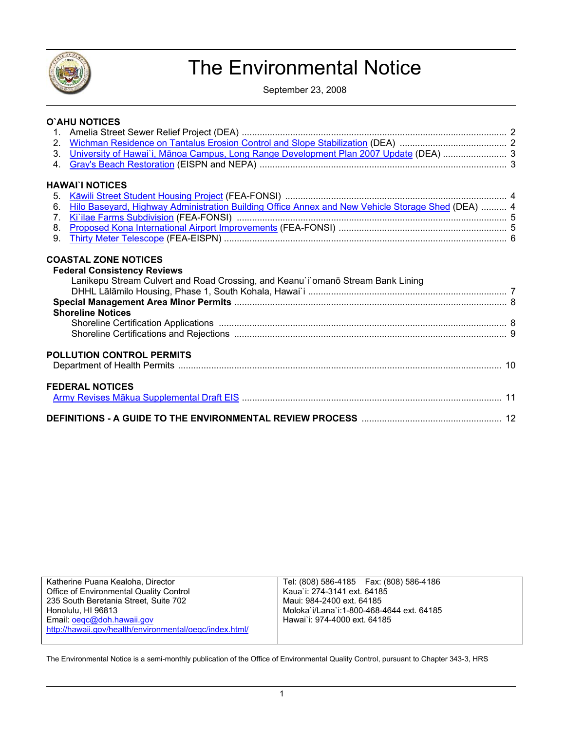

# The Environmental Notice

September 23, 2008

|                | O`AHU NOTICES                                                                                                                                     |  |
|----------------|---------------------------------------------------------------------------------------------------------------------------------------------------|--|
|                |                                                                                                                                                   |  |
|                |                                                                                                                                                   |  |
|                | 3. University of Hawai'i, Mānoa Campus, Long Range Development Plan 2007 Update (DEA)  3                                                          |  |
| 4 <sup>1</sup> |                                                                                                                                                   |  |
|                | <b>HAWAI`I NOTICES</b>                                                                                                                            |  |
| 5.             |                                                                                                                                                   |  |
| 6.             | Hilo Baseyard, Highway Administration Building Office Annex and New Vehicle Storage Shed (DEA)  4                                                 |  |
| 7 <sub>1</sub> |                                                                                                                                                   |  |
| 8.             |                                                                                                                                                   |  |
| 9 <sub>1</sub> |                                                                                                                                                   |  |
|                | <b>Federal Consistency Reviews</b><br>Lanikepu Stream Culvert and Road Crossing, and Keanu'i'omanō Stream Bank Lining<br><b>Shoreline Notices</b> |  |
|                |                                                                                                                                                   |  |
|                |                                                                                                                                                   |  |
|                | <b>POLLUTION CONTROL PERMITS</b>                                                                                                                  |  |
|                | <b>FEDERAL NOTICES</b>                                                                                                                            |  |
|                |                                                                                                                                                   |  |
|                |                                                                                                                                                   |  |

| Katherine Puana Kealoha, Director                       | Tel: (808) 586-4185   Fax: (808) 586-4186 |
|---------------------------------------------------------|-------------------------------------------|
| Office of Environmental Quality Control                 | Kaua`i: 274-3141 ext. 64185               |
| 235 South Beretania Street, Suite 702                   | Maui: 984-2400 ext. 64185                 |
| Honolulu, HI 96813                                      | Moloka`i/Lana`i:1-800-468-4644 ext. 64185 |
| Email: oegc@doh.hawaii.gov                              | Hawai`i: 974-4000 ext. 64185              |
| http://hawaii.gov/health/environmental/oegc/index.html/ |                                           |
|                                                         |                                           |

The Environmental Notice is a semi-monthly publication of the Office of Environmental Quality Control, pursuant to Chapter 343-3, HRS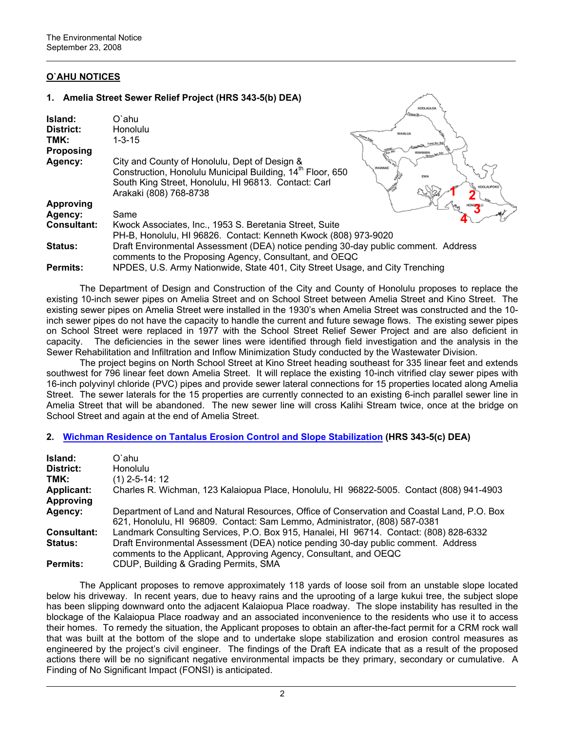# **O`AHU NOTICES**

## **1. Amelia Street Sewer Relief Project (HRS 343-5(b) DEA)**

| Island:<br>District:<br>TMK:<br><b>Proposing</b> | O`ahu<br><b>Honolulu</b><br>$1 - 3 - 15$                                                                                                                                                                  | WASALIJA                              |
|--------------------------------------------------|-----------------------------------------------------------------------------------------------------------------------------------------------------------------------------------------------------------|---------------------------------------|
| Agency:                                          | City and County of Honolulu, Dept of Design &<br>Construction, Honolulu Municipal Building, 14 <sup>th</sup> Floor, 650<br>South King Street, Honolulu, HI 96813. Contact: Carl<br>Arakaki (808) 768-8738 | <b>MINKERS</b><br>WAIANAE<br>KOOLAUPO |
| <b>Approving</b>                                 |                                                                                                                                                                                                           |                                       |
| Agency:                                          | Same                                                                                                                                                                                                      |                                       |
| <b>Consultant:</b>                               | Kwock Associates, Inc., 1953 S. Beretania Street, Suite                                                                                                                                                   |                                       |
|                                                  | PH-B, Honolulu, HI 96826. Contact: Kenneth Kwock (808) 973-9020                                                                                                                                           |                                       |
| <b>Status:</b>                                   | Draft Environmental Assessment (DEA) notice pending 30-day public comment. Address<br>comments to the Proposing Agency, Consultant, and OEQC                                                              |                                       |
| <b>Permits:</b>                                  | NPDES, U.S. Army Nationwide, State 401, City Street Usage, and City Trenching                                                                                                                             |                                       |

KOOLALLOA

The Department of Design and Construction of the City and County of Honolulu proposes to replace the existing 10-inch sewer pipes on Amelia Street and on School Street between Amelia Street and Kino Street. The existing sewer pipes on Amelia Street were installed in the 1930's when Amelia Street was constructed and the 10 inch sewer pipes do not have the capacity to handle the current and future sewage flows. The existing sewer pipes on School Street were replaced in 1977 with the School Street Relief Sewer Project and are also deficient in capacity. The deficiencies in the sewer lines were identified through field investigation and the analysis in the Sewer Rehabilitation and Infiltration and Inflow Minimization Study conducted by the Wastewater Division.

The project begins on North School Street at Kino Street heading southeast for 335 linear feet and extends southwest for 796 linear feet down Amelia Street. It will replace the existing 10-inch vitrified clay sewer pipes with 16-inch polyvinyl chloride (PVC) pipes and provide sewer lateral connections for 15 properties located along Amelia Street. The sewer laterals for the 15 properties are currently connected to an existing 6-inch parallel sewer line in Amelia Street that will be abandoned. The new sewer line will cross Kalihi Stream twice, once at the bridge on School Street and again at the end of Amelia Street.

# **2. [Wichman Residence on Tantalus Erosion Control and Slope Stabilization](http://oeqc.doh.hawaii.gov/Shared%20Documents/EA_and_EIS_Online_Library/Oahu/2000s/2008-09-23-OA-DEA-Wichman-Residence.pdf) (HRS 343-5(c) DEA)**

| Island:<br>District:<br>TMK:<br><b>Applicant:</b><br><b>Approving</b> | O`ahu<br>Honolulu<br>$(1)$ 2-5-14: 12<br>Charles R. Wichman, 123 Kalaiopua Place, Honolulu, HI 96822-5005. Contact (808) 941-4903                                                                                                                 |
|-----------------------------------------------------------------------|---------------------------------------------------------------------------------------------------------------------------------------------------------------------------------------------------------------------------------------------------|
| Agency:                                                               | Department of Land and Natural Resources, Office of Conservation and Coastal Land, P.O. Box<br>621, Honolulu, HI 96809. Contact: Sam Lemmo, Administrator, (808) 587-0381                                                                         |
| <b>Consultant:</b><br><b>Status:</b>                                  | Landmark Consulting Services, P.O. Box 915, Hanalei, HI 96714. Contact: (808) 828-6332<br>Draft Environmental Assessment (DEA) notice pending 30-day public comment. Address<br>comments to the Applicant, Approving Agency, Consultant, and OEQC |
| <b>Permits:</b>                                                       | CDUP, Building & Grading Permits, SMA                                                                                                                                                                                                             |

The Applicant proposes to remove approximately 118 yards of loose soil from an unstable slope located below his driveway. In recent years, due to heavy rains and the uprooting of a large kukui tree, the subject slope has been slipping downward onto the adjacent Kalaiopua Place roadway. The slope instability has resulted in the blockage of the Kalaiopua Place roadway and an associated inconvenience to the residents who use it to access their homes. To remedy the situation, the Applicant proposes to obtain an after-the-fact permit for a CRM rock wall that was built at the bottom of the slope and to undertake slope stabilization and erosion control measures as engineered by the project's civil engineer. The findings of the Draft EA indicate that as a result of the proposed actions there will be no significant negative environmental impacts be they primary, secondary or cumulative. A Finding of No Significant Impact (FONSI) is anticipated.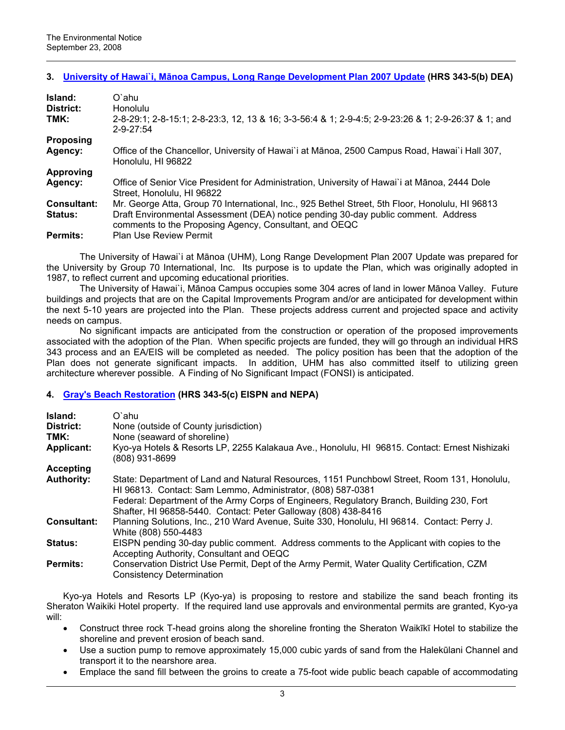# **3. University of Hawai`i, Mā[noa Campus, Long Range Development Plan 2007 Update](http://oeqc.doh.hawaii.gov/Shared%20Documents/EA_and_EIS_Online_Library/Oahu/2000s/2008-09-23-OA-DEA-UH-Manoa-Long-Range-Development-Plan.pdf) (HRS 343-5(b) DEA)**

| Island:<br>District: | O`ahu<br>Honolulu                                                                                                                            |
|----------------------|----------------------------------------------------------------------------------------------------------------------------------------------|
| TMK:                 | 2-8-29:1; 2-8-15:1; 2-8-23:3, 12, 13 & 16; 3-3-56:4 & 1; 2-9-4:5; 2-9-23:26 & 1; 2-9-26:37 & 1; and<br>$2 - 9 - 27.54$                       |
| <b>Proposing</b>     |                                                                                                                                              |
| Agency:              | Office of the Chancellor, University of Hawai`i at Mānoa, 2500 Campus Road, Hawai`i Hall 307,<br>Honolulu, HI 96822                          |
| <b>Approving</b>     |                                                                                                                                              |
| Agency:              | Office of Senior Vice President for Administration, University of Hawai'i at Mānoa, 2444 Dole<br>Street. Honolulu. HI 96822                  |
| <b>Consultant:</b>   | Mr. George Atta, Group 70 International, Inc., 925 Bethel Street, 5th Floor, Honolulu, HI 96813                                              |
| <b>Status:</b>       | Draft Environmental Assessment (DEA) notice pending 30-day public comment. Address<br>comments to the Proposing Agency, Consultant, and OEQC |
| <b>Permits:</b>      | <b>Plan Use Review Permit</b>                                                                                                                |

The University of Hawai`i at Mānoa (UHM), Long Range Development Plan 2007 Update was prepared for the University by Group 70 International, Inc. Its purpose is to update the Plan, which was originally adopted in 1987, to reflect current and upcoming educational priorities.

The University of Hawai`i, Mānoa Campus occupies some 304 acres of land in lower Mānoa Valley. Future buildings and projects that are on the Capital Improvements Program and/or are anticipated for development within the next 5-10 years are projected into the Plan. These projects address current and projected space and activity needs on campus.

No significant impacts are anticipated from the construction or operation of the proposed improvements associated with the adoption of the Plan. When specific projects are funded, they will go through an individual HRS 343 process and an EA/EIS will be completed as needed. The policy position has been that the adoption of the Plan does not generate significant impacts. In addition, UHM has also committed itself to utilizing green architecture wherever possible. A Finding of No Significant Impact (FONSI) is anticipated.

# **4. [Gray's Beach Restoration](http://oeqc.doh.hawaii.gov/Shared%20Documents/EA_and_EIS_Online_Library/Oahu/2000s/2008-09-23-OA-FEA-EISPN-Grays-Beach-Restoration.pdf) (HRS 343-5(c) EISPN and NEPA)**

| Island:<br>District:<br>TMK:<br><b>Applicant:</b> | O`ahu<br>None (outside of County jurisdiction)<br>None (seaward of shoreline)<br>Kyo-ya Hotels & Resorts LP, 2255 Kalakaua Ave., Honolulu, HI 96815. Contact: Ernest Nishizaki<br>(808) 931-8699                                                                                                                          |
|---------------------------------------------------|---------------------------------------------------------------------------------------------------------------------------------------------------------------------------------------------------------------------------------------------------------------------------------------------------------------------------|
| Accepting                                         |                                                                                                                                                                                                                                                                                                                           |
| <b>Authority:</b>                                 | State: Department of Land and Natural Resources, 1151 Punchbowl Street, Room 131, Honolulu,<br>HI 96813. Contact: Sam Lemmo, Administrator, (808) 587-0381<br>Federal: Department of the Army Corps of Engineers, Regulatory Branch, Building 230, Fort<br>Shafter, HI 96858-5440. Contact: Peter Galloway (808) 438-8416 |
| <b>Consultant:</b>                                | Planning Solutions, Inc., 210 Ward Avenue, Suite 330, Honolulu, HI 96814. Contact: Perry J.<br>White (808) 550-4483                                                                                                                                                                                                       |
| <b>Status:</b>                                    | EISPN pending 30-day public comment. Address comments to the Applicant with copies to the<br>Accepting Authority, Consultant and OEQC                                                                                                                                                                                     |
| <b>Permits:</b>                                   | Conservation District Use Permit, Dept of the Army Permit, Water Quality Certification, CZM<br><b>Consistency Determination</b>                                                                                                                                                                                           |

Kyo-ya Hotels and Resorts LP (Kyo-ya) is proposing to restore and stabilize the sand beach fronting its Sheraton Waikiki Hotel property. If the required land use approvals and environmental permits are granted, Kyo-ya will:

- Construct three rock T-head groins along the shoreline fronting the Sheraton Waikīkī Hotel to stabilize the shoreline and prevent erosion of beach sand.
- Use a suction pump to remove approximately 15,000 cubic yards of sand from the Halekūlani Channel and transport it to the nearshore area.
- Emplace the sand fill between the groins to create a 75-foot wide public beach capable of accommodating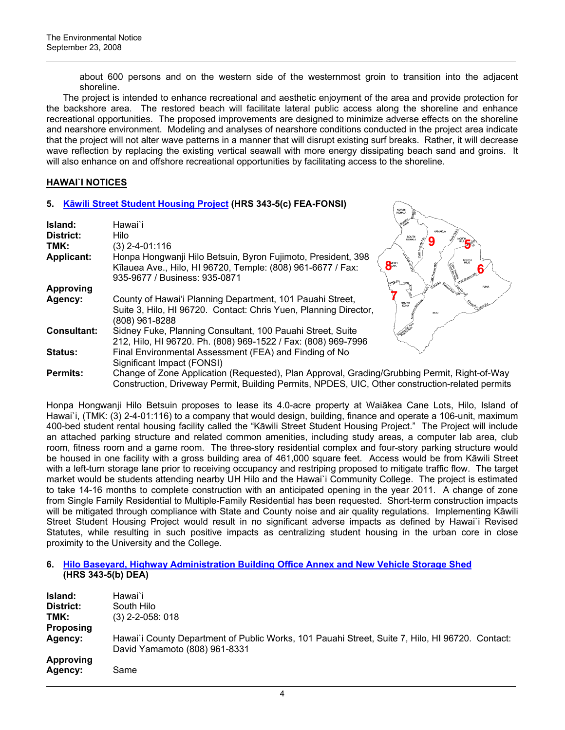about 600 persons and on the western side of the westernmost groin to transition into the adjacent shoreline.

The project is intended to enhance recreational and aesthetic enjoyment of the area and provide protection for the backshore area. The restored beach will facilitate lateral public access along the shoreline and enhance recreational opportunities. The proposed improvements are designed to minimize adverse effects on the shoreline and nearshore environment. Modeling and analyses of nearshore conditions conducted in the project area indicate that the project will not alter wave patterns in a manner that will disrupt existing surf breaks. Rather, it will decrease wave reflection by replacing the existing vertical seawall with more energy dissipating beach sand and groins. It will also enhance on and offshore recreational opportunities by facilitating access to the shoreline.

# **HAWAI`I NOTICES**

## **5. Kā[wili Street Student Housing Project](http://oeqc.doh.hawaii.gov/Shared%20Documents/EA_and_EIS_Online_Library/Hawaii/2000s/2008-09-23-HA-FEA-Kawili-Street-Student-Housing.pdf) (HRS 343-5(c) FEA-FONSI)**

|                    | 3. <b>Nawlii Street Student Housing Froject (HNS 343-3(C) FEA-FONSI)</b>                        |                         |
|--------------------|-------------------------------------------------------------------------------------------------|-------------------------|
|                    |                                                                                                 | NORTH<br><b>KIDHALA</b> |
| Island:            | Hawai`i                                                                                         |                         |
| District:          | Hilo.                                                                                           | <b>KOHAL</b>            |
| TMK:               | $(3)$ 2-4-01:116                                                                                |                         |
| <b>Applicant:</b>  | Honpa Hongwanji Hilo Betsuin, Byron Fujimoto, President, 398                                    | SOUTH                   |
|                    | Kīlauea Ave., Hilo, HI 96720, Temple: (808) 961-6677 / Fax:                                     | 8 <sup>m</sup>          |
|                    | 935-9677 / Business: 935-0871                                                                   |                         |
| <b>Approving</b>   |                                                                                                 | <b>PUNA</b>             |
| Agency:            | County of Hawai'i Planning Department, 101 Pauahi Street,                                       |                         |
|                    | Suite 3, Hilo, HI 96720. Contact: Chris Yuen, Planning Director,                                | KA'U                    |
|                    | (808) 961-8288                                                                                  |                         |
| <b>Consultant:</b> | Sidney Fuke, Planning Consultant, 100 Pauahi Street, Suite                                      |                         |
|                    | 212, Hilo, HI 96720. Ph. (808) 969-1522 / Fax: (808) 969-7996                                   |                         |
| <b>Status:</b>     | Final Environmental Assessment (FEA) and Finding of No                                          |                         |
|                    | Significant Impact (FONSI)                                                                      |                         |
| <b>Permits:</b>    | Change of Zone Application (Requested), Plan Approval, Grading/Grubbing Permit, Right-of-Way    |                         |
|                    | Construction, Driveway Permit, Building Permits, NPDES, UIC, Other construction-related permits |                         |

Honpa Hongwanji Hilo Betsuin proposes to lease its 4.0-acre property at Waiākea Cane Lots, Hilo, Island of Hawai`i, (TMK: (3) 2-4-01:116) to a company that would design, building, finance and operate a 106-unit, maximum 400-bed student rental housing facility called the "Kāwili Street Student Housing Project." The Project will include an attached parking structure and related common amenities, including study areas, a computer lab area, club room, fitness room and a game room. The three-story residential complex and four-story parking structure would be housed in one facility with a gross building area of 461,000 square feet. Access would be from Kāwili Street with a left-turn storage lane prior to receiving occupancy and restriping proposed to mitigate traffic flow. The target market would be students attending nearby UH Hilo and the Hawai`i Community College. The project is estimated to take 14-16 months to complete construction with an anticipated opening in the year 2011. A change of zone from Single Family Residential to Multiple-Family Residential has been requested. Short-term construction impacts will be mitigated through compliance with State and County noise and air quality regulations. Implementing Kāwili Street Student Housing Project would result in no significant adverse impacts as defined by Hawai'i Revised Statutes, while resulting in such positive impacts as centralizing student housing in the urban core in close proximity to the University and the College.

## **6. [Hilo Baseyard, Highway Administration Building Office Annex and New Vehicle Storage Shed](http://oeqc.doh.hawaii.gov/Shared%20Documents/EA_and_EIS_Online_Library/Hawaii/2000s/2008-09-23-HA-DEA-Hilo-Baseyard-Highway-Administration-Building.pdf) (HRS 343-5(b) DEA)**

| Island:<br>District:<br>TMK:<br><b>Proposing</b> | Hawai`i<br>South Hilo<br>$(3)$ 2-2-058: 018                                                                                      |
|--------------------------------------------------|----------------------------------------------------------------------------------------------------------------------------------|
| Agency:                                          | Hawai'i County Department of Public Works, 101 Pauahi Street, Suite 7, Hilo, HI 96720. Contact:<br>David Yamamoto (808) 961-8331 |
| <b>Approving</b><br>Agency:                      | Same                                                                                                                             |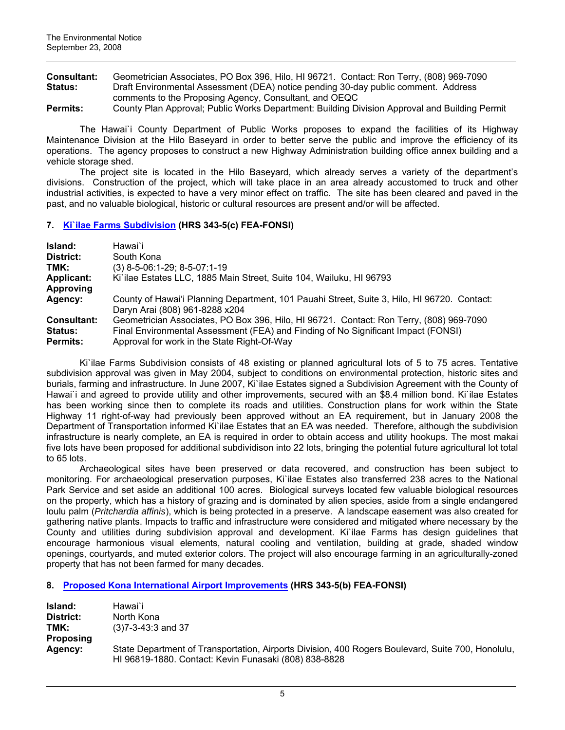**Consultant:** Geometrician Associates, PO Box 396, Hilo, HI 96721. Contact: Ron Terry, (808) 969-7090 **Status:** Draft Environmental Assessment (DEA) notice pending 30-day public comment. Address comments to the Proposing Agency, Consultant, and OEQC

**Permits:** County Plan Approval; Public Works Department: Building Division Approval and Building Permit

The Hawai`i County Department of Public Works proposes to expand the facilities of its Highway Maintenance Division at the Hilo Baseyard in order to better serve the public and improve the efficiency of its operations. The agency proposes to construct a new Highway Administration building office annex building and a vehicle storage shed.

The project site is located in the Hilo Baseyard, which already serves a variety of the department's divisions. Construction of the project, which will take place in an area already accustomed to truck and other industrial activities, is expected to have a very minor effect on traffic. The site has been cleared and paved in the past, and no valuable biological, historic or cultural resources are present and/or will be affected.

# **7. [Ki`ilae Farms Subdivision](http://oeqc.doh.hawaii.gov/Shared%20Documents/EA_and_EIS_Online_Library/Hawaii/2000s/2008-09-23-HA-FEA-Kiilae-Farms-Subdivision.pdf) (HRS 343-5(c) FEA-FONSI)**

| Island:                                                 | Hawai`i                                                                                                                                                                                                                     |  |
|---------------------------------------------------------|-----------------------------------------------------------------------------------------------------------------------------------------------------------------------------------------------------------------------------|--|
| District:                                               | South Kona                                                                                                                                                                                                                  |  |
| TMK:                                                    | $(3)$ 8-5-06:1-29; 8-5-07:1-19                                                                                                                                                                                              |  |
| <b>Applicant:</b><br>Approving                          | Ki'ilae Estates LLC, 1885 Main Street, Suite 104, Wailuku, HI 96793                                                                                                                                                         |  |
| Agency:                                                 | County of Hawai'i Planning Department, 101 Pauahi Street, Suite 3, Hilo, HI 96720. Contact:<br>Daryn Arai (808) 961-8288 x204                                                                                               |  |
| <b>Consultant:</b><br><b>Status:</b><br><b>Permits:</b> | Geometrician Associates, PO Box 396, Hilo, HI 96721. Contact: Ron Terry, (808) 969-7090<br>Final Environmental Assessment (FEA) and Finding of No Significant Impact (FONSI)<br>Approval for work in the State Right-Of-Way |  |

Ki`ilae Farms Subdivision consists of 48 existing or planned agricultural lots of 5 to 75 acres. Tentative subdivision approval was given in May 2004, subject to conditions on environmental protection, historic sites and burials, farming and infrastructure. In June 2007, Ki`ilae Estates signed a Subdivision Agreement with the County of Hawai`i and agreed to provide utility and other improvements, secured with an \$8.4 million bond. Ki`ilae Estates has been working since then to complete its roads and utilities. Construction plans for work within the State Highway 11 right-of-way had previously been approved without an EA requirement, but in January 2008 the Department of Transportation informed Ki`ilae Estates that an EA was needed. Therefore, although the subdivision infrastructure is nearly complete, an EA is required in order to obtain access and utility hookups. The most makai five lots have been proposed for additional subdividison into 22 lots, bringing the potential future agricultural lot total to 65 lots.

Archaeological sites have been preserved or data recovered, and construction has been subject to monitoring. For archaeological preservation purposes, Ki`ilae Estates also transferred 238 acres to the National Park Service and set aside an additional 100 acres. Biological surveys located few valuable biological resources on the property, which has a history of grazing and is dominated by alien species, aside from a single endangered loulu palm (*Pritchardia affinis*), which is being protected in a preserve. A landscape easement was also created for gathering native plants. Impacts to traffic and infrastructure were considered and mitigated where necessary by the County and utilities during subdivision approval and development. Ki`ilae Farms has design guidelines that encourage harmonious visual elements, natural cooling and ventilation, building at grade, shaded window openings, courtyards, and muted exterior colors. The project will also encourage farming in an agriculturally-zoned property that has not been farmed for many decades.

# **8. [Proposed Kona International Airport Improvements](http://oeqc.doh.hawaii.gov/Shared%20Documents/EA_and_EIS_Online_Library/Hawaii/2000s/2008-09-23-HA-FEA-Kona-Airport-Improvements.pdf) (HRS 343-5(b) FEA-FONSI)**

| Island:          | Hawai`i                                                                                                                                                    |
|------------------|------------------------------------------------------------------------------------------------------------------------------------------------------------|
| District:        | North Kona                                                                                                                                                 |
| TMK:             | $(3)7 - 3 - 43:3$ and 37                                                                                                                                   |
| <b>Proposing</b> |                                                                                                                                                            |
| Agency:          | State Department of Transportation, Airports Division, 400 Rogers Boulevard, Suite 700, Honolulu,<br>HI 96819-1880. Contact: Kevin Funasaki (808) 838-8828 |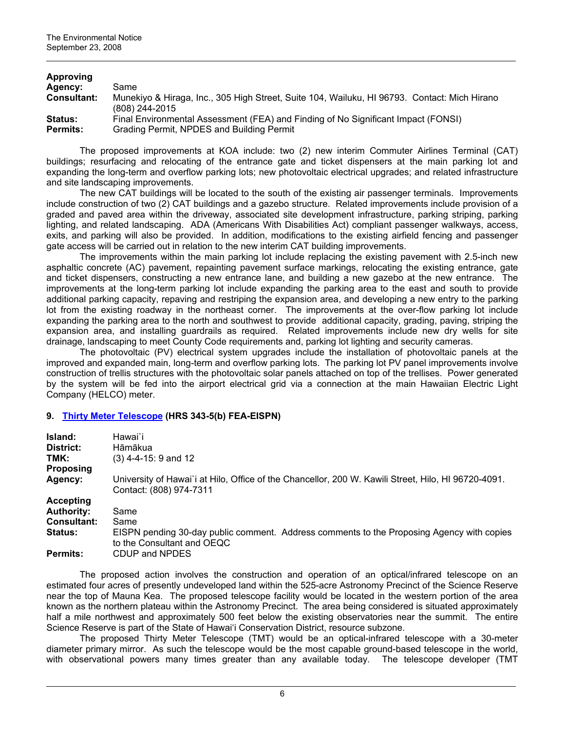| Approving          |                                                                                                                |
|--------------------|----------------------------------------------------------------------------------------------------------------|
| <b>Agency:</b>     | Same                                                                                                           |
| <b>Consultant:</b> | Munekiyo & Hiraga, Inc., 305 High Street, Suite 104, Wailuku, HI 96793. Contact: Mich Hirano<br>(808) 244-2015 |
| <b>Status:</b>     | Final Environmental Assessment (FEA) and Finding of No Significant Impact (FONSI)                              |
| <b>Permits:</b>    | Grading Permit, NPDES and Building Permit                                                                      |

The proposed improvements at KOA include: two (2) new interim Commuter Airlines Terminal (CAT) buildings; resurfacing and relocating of the entrance gate and ticket dispensers at the main parking lot and expanding the long-term and overflow parking lots; new photovoltaic electrical upgrades; and related infrastructure and site landscaping improvements.

The new CAT buildings will be located to the south of the existing air passenger terminals. Improvements include construction of two (2) CAT buildings and a gazebo structure. Related improvements include provision of a graded and paved area within the driveway, associated site development infrastructure, parking striping, parking lighting, and related landscaping. ADA (Americans With Disabilities Act) compliant passenger walkways, access, exits, and parking will also be provided. In addition, modifications to the existing airfield fencing and passenger gate access will be carried out in relation to the new interim CAT building improvements.

The improvements within the main parking lot include replacing the existing pavement with 2.5-inch new asphaltic concrete (AC) pavement, repainting pavement surface markings, relocating the existing entrance, gate and ticket dispensers, constructing a new entrance lane, and building a new gazebo at the new entrance. The improvements at the long-term parking lot include expanding the parking area to the east and south to provide additional parking capacity, repaving and restriping the expansion area, and developing a new entry to the parking lot from the existing roadway in the northeast corner. The improvements at the over-flow parking lot include expanding the parking area to the north and southwest to provide additional capacity, grading, paving, striping the expansion area, and installing guardrails as required. Related improvements include new dry wells for site drainage, landscaping to meet County Code requirements and, parking lot lighting and security cameras.

The photovoltaic (PV) electrical system upgrades include the installation of photovoltaic panels at the improved and expanded main, long-term and overflow parking lots. The parking lot PV panel improvements involve construction of trellis structures with the photovoltaic solar panels attached on top of the trellises. Power generated by the system will be fed into the airport electrical grid via a connection at the main Hawaiian Electric Light Company (HELCO) meter.

# **9. [Thirty Meter Telescope](http://oeqc.doh.hawaii.gov/Shared%20Documents/EA_and_EIS_Online_Library/Hawaii/2000s/2008-09-23-HA-EISPN-Thirty-Meter-Telescope.pdf) (HRS 343-5(b) FEA-EISPN)**

| Island:            | Hawai`i                                                                                                                        |
|--------------------|--------------------------------------------------------------------------------------------------------------------------------|
| District:          | Hāmākua                                                                                                                        |
| TMK:               | $(3)$ 4-4-15: 9 and 12                                                                                                         |
| <b>Proposing</b>   |                                                                                                                                |
| Agency:            | University of Hawai'i at Hilo, Office of the Chancellor, 200 W. Kawili Street, Hilo, HI 96720-4091.<br>Contact: (808) 974-7311 |
| <b>Accepting</b>   |                                                                                                                                |
| <b>Authority:</b>  | Same                                                                                                                           |
| <b>Consultant:</b> | Same                                                                                                                           |
| <b>Status:</b>     | EISPN pending 30-day public comment. Address comments to the Proposing Agency with copies<br>to the Consultant and OEQC        |
| <b>Permits:</b>    | CDUP and NPDES                                                                                                                 |

The proposed action involves the construction and operation of an optical/infrared telescope on an estimated four acres of presently undeveloped land within the 525-acre Astronomy Precinct of the Science Reserve near the top of Mauna Kea. The proposed telescope facility would be located in the western portion of the area known as the northern plateau within the Astronomy Precinct. The area being considered is situated approximately half a mile northwest and approximately 500 feet below the existing observatories near the summit. The entire Science Reserve is part of the State of Hawai'i Conservation District, resource subzone.

The proposed Thirty Meter Telescope (TMT) would be an optical-infrared telescope with a 30-meter diameter primary mirror. As such the telescope would be the most capable ground-based telescope in the world, with observational powers many times greater than any available today. The telescope developer (TMT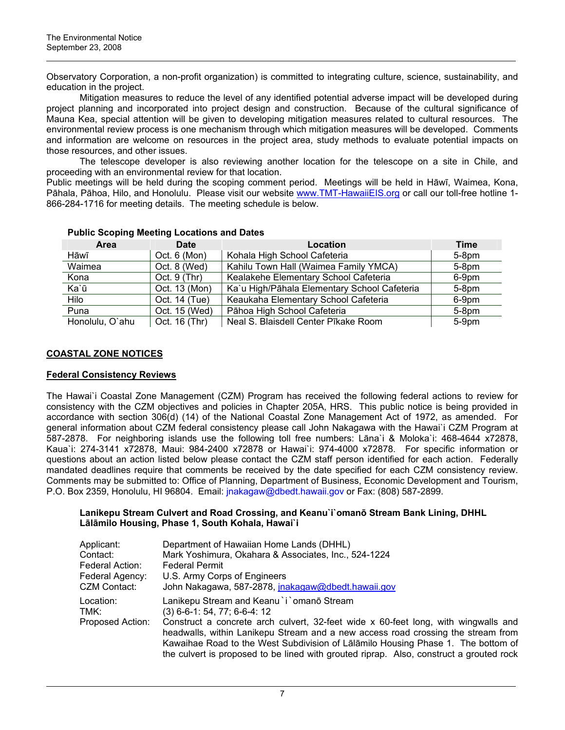Observatory Corporation, a non-profit organization) is committed to integrating culture, science, sustainability, and education in the project.

Mitigation measures to reduce the level of any identified potential adverse impact will be developed during project planning and incorporated into project design and construction. Because of the cultural significance of Mauna Kea, special attention will be given to developing mitigation measures related to cultural resources. The environmental review process is one mechanism through which mitigation measures will be developed. Comments and information are welcome on resources in the project area, study methods to evaluate potential impacts on those resources, and other issues.

The telescope developer is also reviewing another location for the telescope on a site in Chile, and proceeding with an environmental review for that location.

Public meetings will be held during the scoping comment period. Meetings will be held in Hāwī, Waimea, Kona, Pāhala, Pāhoa, Hilo, and Honolulu. Please visit our website [www.TMT-HawaiiEIS.org](http://www.tmt-hawaiieis.org/) or call our toll-free hotline 1-866-284-1716 for meeting details. The meeting schedule is below.

| <b>Area</b>     | Date           | Location                                     | <b>Time</b> |
|-----------------|----------------|----------------------------------------------|-------------|
| Hāwī            | Oct. 6 (Mon)   | Kohala High School Cafeteria                 | $5-8$ pm    |
| Waimea          | Oct. 8 (Wed)   | Kahilu Town Hall (Waimea Family YMCA)        | $5-8pm$     |
| Kona            | Oct. $9$ (Thr) | Kealakehe Elementary School Cafeteria        | 6-9pm       |
| Ka`ū            | Oct. 13 (Mon)  | Ka'u High/Pāhala Elementary School Cafeteria | $5-8pm$     |
| Hilo            | Oct. 14 (Tue)  | Keaukaha Elementary School Cafeteria         | 6-9pm       |
| Puna            | Oct. 15 (Wed)  | Pāhoa High School Cafeteria                  | $5-8$ pm    |
| Honolulu, O'ahu | Oct. 16 (Thr)  | Neal S. Blaisdell Center Pīkake Room         | $5-9$ pm    |

# **Public Scoping Meeting Locations and Dates**

# **COASTAL ZONE NOTICES**

# **Federal Consistency Reviews**

The Hawai`i Coastal Zone Management (CZM) Program has received the following federal actions to review for consistency with the CZM objectives and policies in Chapter 205A, HRS. This public notice is being provided in accordance with section 306(d) (14) of the National Coastal Zone Management Act of 1972, as amended. For general information about CZM federal consistency please call John Nakagawa with the Hawai`i CZM Program at 587-2878. For neighboring islands use the following toll free numbers: Lāna`i & Moloka`i: 468-4644 x72878, Kaua`i: 274-3141 x72878, Maui: 984-2400 x72878 or Hawai`i: 974-4000 x72878. For specific information or questions about an action listed below please contact the CZM staff person identified for each action. Federally mandated deadlines require that comments be received by the date specified for each CZM consistency review. Comments may be submitted to: Office of Planning, Department of Business, Economic Development and Tourism, P.O. Box 2359, Honolulu, HI 96804. Email: [jnakagaw@dbedt.hawaii.gov](mailto:jnakagaw@dbedt.hawaii.gov) or Fax: (808) 587-2899.

# **Lanikepu Stream Culvert and Road Crossing, and Keanu`i`omanō Stream Bank Lining, DHHL Lālāmilo Housing, Phase 1, South Kohala, Hawai`i**

| Applicant:        | Department of Hawaiian Home Lands (DHHL)                                                                                                                                                                                                                   |
|-------------------|------------------------------------------------------------------------------------------------------------------------------------------------------------------------------------------------------------------------------------------------------------|
| Contact:          | Mark Yoshimura, Okahara & Associates, Inc., 524-1224                                                                                                                                                                                                       |
| Federal Action:   | <b>Federal Permit</b>                                                                                                                                                                                                                                      |
| Federal Agency:   | U.S. Army Corps of Engineers                                                                                                                                                                                                                               |
| CZM Contact:      | John Nakagawa, 587-2878, jnakagaw@dbedt.hawaii.gov                                                                                                                                                                                                         |
| Location:<br>TMK: | Lanikepu Stream and Keanu `i `omanō Stream<br>$(3)$ 6-6-1: 54, 77; 6-6-4: 12                                                                                                                                                                               |
| Proposed Action:  | Construct a concrete arch culvert, 32-feet wide x 60-feet long, with wingwalls and<br>headwalls, within Lanikepu Stream and a new access road crossing the stream from<br>Kawaihae Road to the West Subdivision of Lalamilo Housing Phase 1. The bottom of |
|                   | the culvert is proposed to be lined with grouted riprap. Also, construct a grouted rock                                                                                                                                                                    |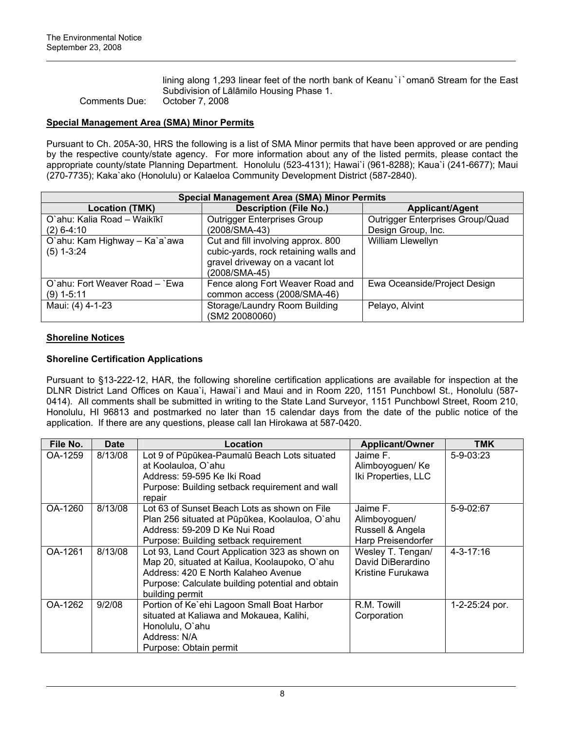lining along 1,293 linear feet of the north bank of Keanu i omano Stream for the East Subdivision of Lālāmilo Housing Phase 1. Comments Due: October 7, 2008

# **Special Management Area (SMA) Minor Permits**

Pursuant to Ch. 205A-30, HRS the following is a list of SMA Minor permits that have been approved or are pending by the respective county/state agency. For more information about any of the listed permits, please contact the appropriate county/state Planning Department. Honolulu (523-4131); Hawai`i (961-8288); Kaua`i (241-6677); Maui (270-7735); Kaka`ako (Honolulu) or Kalaeloa Community Development District (587-2840).

| <b>Special Management Area (SMA) Minor Permits</b> |                                                                                                                                 |                                  |  |  |  |
|----------------------------------------------------|---------------------------------------------------------------------------------------------------------------------------------|----------------------------------|--|--|--|
| <b>Location (TMK)</b>                              | <b>Description (File No.)</b>                                                                                                   | <b>Applicant/Agent</b>           |  |  |  |
| O`ahu: Kalia Road - Waikīkī                        | <b>Outrigger Enterprises Group</b>                                                                                              | Outrigger Enterprises Group/Quad |  |  |  |
| $(2)$ 6-4:10                                       | (2008/SMA-43)                                                                                                                   | Design Group, Inc.               |  |  |  |
| O'ahu: Kam Highway - Ka'a'awa<br>$(5)$ 1-3:24      | Cut and fill involving approx. 800<br>cubic-yards, rock retaining walls and<br>gravel driveway on a vacant lot<br>(2008/SMA-45) | William Llewellyn                |  |  |  |
| O'ahu: Fort Weaver Road – `Ewa<br>$(9)$ 1-5:11     | Fence along Fort Weaver Road and<br>common access (2008/SMA-46)                                                                 | Ewa Oceanside/Project Design     |  |  |  |
| Maui: (4) 4-1-23                                   | Storage/Laundry Room Building<br>(SM2 20080060)                                                                                 | Pelayo, Alvint                   |  |  |  |

# **Shoreline Notices**

# **Shoreline Certification Applications**

Pursuant to §13-222-12, HAR, the following shoreline certification applications are available for inspection at the DLNR District Land Offices on Kaua`i, Hawai`i and Maui and in Room 220, 1151 Punchbowl St., Honolulu (587- 0414). All comments shall be submitted in writing to the State Land Surveyor, 1151 Punchbowl Street, Room 210, Honolulu, HI 96813 and postmarked no later than 15 calendar days from the date of the public notice of the application. If there are any questions, please call Ian Hirokawa at 587-0420.

| File No. | <b>Date</b> | Location                                                                                                                                                                                                      | <b>Applicant/Owner</b>                                              | TMK             |
|----------|-------------|---------------------------------------------------------------------------------------------------------------------------------------------------------------------------------------------------------------|---------------------------------------------------------------------|-----------------|
| OA-1259  | 8/13/08     | Lot 9 of Pūpūkea-Paumalū Beach Lots situated<br>at Koolauloa, O'ahu<br>Address: 59-595 Ke Iki Road<br>Purpose: Building setback requirement and wall<br>repair                                                | Jaime F.<br>Alimboyoguen/ Ke<br>Iki Properties, LLC                 | $5 - 9 - 03:23$ |
| OA-1260  | 8/13/08     | Lot 63 of Sunset Beach Lots as shown on File<br>Plan 256 situated at Pūpūkea, Koolauloa, O'ahu<br>Address: 59-209 D Ke Nui Road<br>Purpose: Building setback requirement                                      | Jaime F.<br>Alimboyoguen/<br>Russell & Angela<br>Harp Preisendorfer | $5 - 9 - 02:67$ |
| OA-1261  | 8/13/08     | Lot 93, Land Court Application 323 as shown on<br>Map 20, situated at Kailua, Koolaupoko, O'ahu<br>Address: 420 E North Kalaheo Avenue<br>Purpose: Calculate building potential and obtain<br>building permit | Wesley T. Tengan/<br>David DiBerardino<br>Kristine Furukawa         | 4-3-17:16       |
| OA-1262  | 9/2/08      | Portion of Ke'ehi Lagoon Small Boat Harbor<br>situated at Kaliawa and Mokauea, Kalihi,<br>Honolulu, O'ahu<br>Address: N/A<br>Purpose: Obtain permit                                                           | R.M. Towill<br>Corporation                                          | 1-2-25:24 por.  |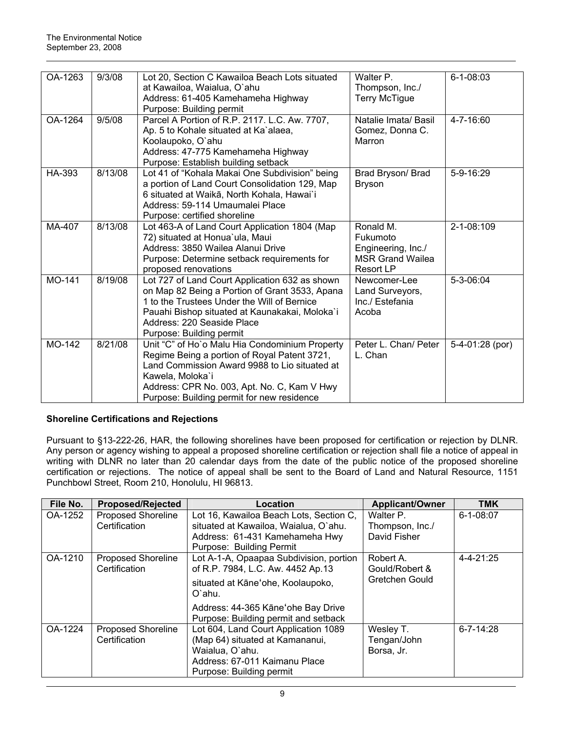| OA-1263 | 9/3/08  | Lot 20, Section C Kawailoa Beach Lots situated<br>at Kawailoa, Waialua, O'ahu<br>Address: 61-405 Kamehameha Highway<br>Purpose: Building permit                                                                                                                  | Walter P.<br>Thompson, Inc./<br><b>Terry McTigue</b>                                       | $6 - 1 - 08:03$ |
|---------|---------|------------------------------------------------------------------------------------------------------------------------------------------------------------------------------------------------------------------------------------------------------------------|--------------------------------------------------------------------------------------------|-----------------|
| OA-1264 | 9/5/08  | Parcel A Portion of R.P. 2117. L.C. Aw. 7707,<br>Ap. 5 to Kohale situated at Ka'alaea,<br>Koolaupoko, O'ahu<br>Address: 47-775 Kamehameha Highway<br>Purpose: Establish building setback                                                                         | Natalie Imata/ Basil<br>Gomez, Donna C.<br>Marron                                          | 4-7-16:60       |
| HA-393  | 8/13/08 | Lot 41 of "Kohala Makai One Subdivision" being<br>a portion of Land Court Consolidation 129, Map<br>6 situated at Waikā, North Kohala, Hawai`i<br>Address: 59-114 Umaumalei Place<br>Purpose: certified shoreline                                                | Brad Bryson/ Brad<br><b>Bryson</b>                                                         | $5 - 9 - 16:29$ |
| MA-407  | 8/13/08 | Lot 463-A of Land Court Application 1804 (Map<br>72) situated at Honua'ula, Maui<br>Address: 3850 Wailea Alanui Drive<br>Purpose: Determine setback requirements for<br>proposed renovations                                                                     | Ronald M.<br>Fukumoto<br>Engineering, Inc./<br><b>MSR Grand Wailea</b><br><b>Resort LP</b> | 2-1-08:109      |
| MO-141  | 8/19/08 | Lot 727 of Land Court Application 632 as shown<br>on Map 82 Being a Portion of Grant 3533, Apana<br>1 to the Trustees Under the Will of Bernice<br>Pauahi Bishop situated at Kaunakakai, Moloka'i<br>Address: 220 Seaside Place<br>Purpose: Building permit      | Newcomer-Lee<br>Land Surveyors,<br>Inc./ Estefania<br>Acoba                                | 5-3-06:04       |
| MO-142  | 8/21/08 | Unit "C" of Ho`o Malu Hia Condominium Property<br>Regime Being a portion of Royal Patent 3721,<br>Land Commission Award 9988 to Lio situated at<br>Kawela, Moloka'i<br>Address: CPR No. 003, Apt. No. C, Kam V Hwy<br>Purpose: Building permit for new residence | Peter L. Chan/ Peter<br>L. Chan                                                            | 5-4-01:28 (por) |

# **Shoreline Certifications and Rejections**

Pursuant to §13-222-26, HAR, the following shorelines have been proposed for certification or rejection by DLNR. Any person or agency wishing to appeal a proposed shoreline certification or rejection shall file a notice of appeal in writing with DLNR no later than 20 calendar days from the date of the public notice of the proposed shoreline certification or rejections. The notice of appeal shall be sent to the Board of Land and Natural Resource, 1151 Punchbowl Street, Room 210, Honolulu, HI 96813.

| File No. | <b>Proposed/Rejected</b>  | Location                                                                   | <b>Applicant/Owner</b> | TMK             |
|----------|---------------------------|----------------------------------------------------------------------------|------------------------|-----------------|
| OA-1252  | <b>Proposed Shoreline</b> | Lot 16, Kawailoa Beach Lots, Section C,                                    | Walter P.              | $6 - 1 - 08:07$ |
|          | Certification             | situated at Kawailoa, Waialua, O'ahu.                                      | Thompson, Inc./        |                 |
|          |                           | Address: 61-431 Kamehameha Hwy                                             | David Fisher           |                 |
|          |                           | Purpose: Building Permit                                                   |                        |                 |
| OA-1210  | Proposed Shoreline        | Lot A-1-A, Opaapaa Subdivision, portion                                    | Robert A.              | $4 - 4 - 21:25$ |
|          | Certification             | of R.P. 7984, L.C. Aw. 4452 Ap.13                                          | Gould/Robert &         |                 |
|          |                           | situated at Kāne'ohe, Koolaupoko,<br>O'ahu.                                | Gretchen Gould         |                 |
|          |                           | Address: 44-365 Kāne'ohe Bay Drive<br>Purpose: Building permit and setback |                        |                 |
| OA-1224  | <b>Proposed Shoreline</b> | Lot 604, Land Court Application 1089                                       | Wesley T.              | $6 - 7 - 14:28$ |
|          | Certification             | (Map 64) situated at Kamananui,                                            | Tengan/John            |                 |
|          |                           | Waialua, O'ahu.                                                            | Borsa, Jr.             |                 |
|          |                           | Address: 67-011 Kaimanu Place                                              |                        |                 |
|          |                           | Purpose: Building permit                                                   |                        |                 |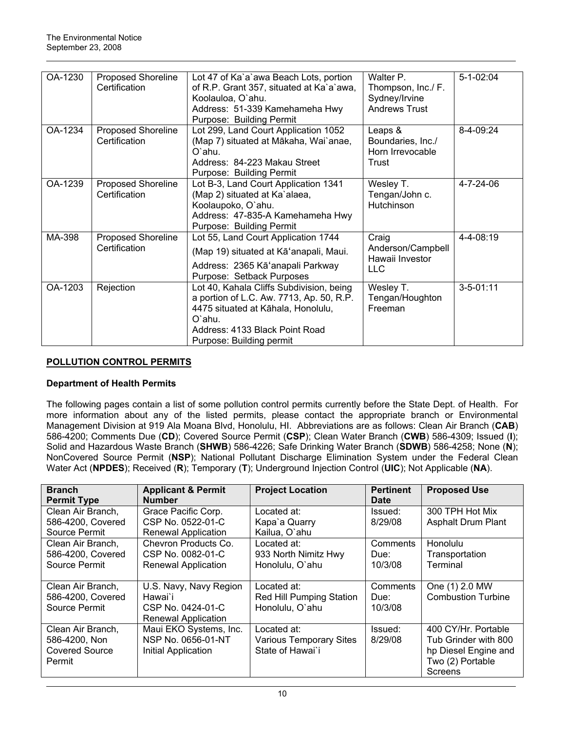| OA-1230 | Proposed Shoreline<br>Certification | Lot 47 of Ka'a'awa Beach Lots, portion<br>of R.P. Grant 357, situated at Ka`a`awa,<br>Koolauloa, O'ahu.<br>Address: 51-339 Kamehameha Hwy<br>Purpose: Building Permit                              | Walter P.<br>Thompson, Inc./ F.<br>Sydney/Irvine<br><b>Andrews Trust</b> | $5 - 1 - 02:04$ |
|---------|-------------------------------------|----------------------------------------------------------------------------------------------------------------------------------------------------------------------------------------------------|--------------------------------------------------------------------------|-----------------|
| OA-1234 | Proposed Shoreline<br>Certification | Lot 299, Land Court Application 1052<br>(Map 7) situated at Mākaha, Wai`anae,<br>O'ahu.<br>Address: 84-223 Makau Street<br>Purpose: Building Permit                                                | Leaps &<br>Boundaries, Inc./<br>Horn Irrevocable<br>Trust                | 8-4-09:24       |
| OA-1239 | Proposed Shoreline<br>Certification | Lot B-3, Land Court Application 1341<br>(Map 2) situated at Ka`alaea,<br>Koolaupoko, O'ahu.<br>Address: 47-835-A Kamehameha Hwy<br>Purpose: Building Permit                                        | Wesley T.<br>Tengan/John c.<br>Hutchinson                                | 4-7-24-06       |
| MA-398  | Proposed Shoreline<br>Certification | Lot 55, Land Court Application 1744<br>(Map 19) situated at Kā'anapali, Maui.<br>Address: 2365 Kā'anapali Parkway<br>Purpose: Setback Purposes                                                     | Craig<br>Anderson/Campbell<br>Hawaii Investor<br>LLC.                    | 4-4-08:19       |
| OA-1203 | Rejection                           | Lot 40, Kahala Cliffs Subdivision, being<br>a portion of L.C. Aw. 7713, Ap. 50, R.P.<br>4475 situated at Kāhala, Honolulu,<br>O'ahu.<br>Address: 4133 Black Point Road<br>Purpose: Building permit | Wesley T.<br>Tengan/Houghton<br>Freeman                                  | $3 - 5 - 01:11$ |

# **POLLUTION CONTROL PERMITS**

# **Department of Health Permits**

The following pages contain a list of some pollution control permits currently before the State Dept. of Health. For more information about any of the listed permits, please contact the appropriate branch or Environmental Management Division at 919 Ala Moana Blvd, Honolulu, HI. Abbreviations are as follows: Clean Air Branch (**CAB**) 586-4200; Comments Due (**CD**); Covered Source Permit (**CSP**); Clean Water Branch (**CWB**) 586-4309; Issued (**I**); Solid and Hazardous Waste Branch (**SHWB**) 586-4226; Safe Drinking Water Branch (**SDWB**) 586-4258; None (**N**); NonCovered Source Permit (**NSP**); National Pollutant Discharge Elimination System under the Federal Clean Water Act (**NPDES**); Received (**R**); Temporary (**T**); Underground Injection Control (**UIC**); Not Applicable (**NA**).

| <b>Branch</b>         | <b>Applicant &amp; Permit</b> | <b>Project Location</b>        | <b>Pertinent</b> | <b>Proposed Use</b>       |
|-----------------------|-------------------------------|--------------------------------|------------------|---------------------------|
| <b>Permit Type</b>    | <b>Number</b>                 |                                | Date             |                           |
| Clean Air Branch,     | Grace Pacific Corp.           | Located at:                    | Issued:          | 300 TPH Hot Mix           |
| 586-4200, Covered     | CSP No. 0522-01-C             | Kapa'a Quarry                  | 8/29/08          | <b>Asphalt Drum Plant</b> |
| Source Permit         | Renewal Application           | Kailua, O'ahu                  |                  |                           |
| Clean Air Branch,     | Chevron Products Co.          | Located at:                    | Comments         | Honolulu                  |
| 586-4200, Covered     | CSP No. 0082-01-C             | 933 North Nimitz Hwy           | Due:             | Transportation            |
| Source Permit         | <b>Renewal Application</b>    | Honolulu, O'ahu                | 10/3/08          | Terminal                  |
|                       |                               |                                |                  |                           |
| Clean Air Branch,     | U.S. Navy, Navy Region        | Located at:                    | Comments         | One (1) 2.0 MW            |
| 586-4200, Covered     | Hawai`i                       | Red Hill Pumping Station       | Due:             | <b>Combustion Turbine</b> |
| Source Permit         | CSP No. 0424-01-C             | Honolulu, O'ahu                | 10/3/08          |                           |
|                       | Renewal Application           |                                |                  |                           |
| Clean Air Branch,     | Maui EKO Systems, Inc.        | Located at:                    | Issued:          | 400 CY/Hr. Portable       |
| 586-4200, Non         | NSP No. 0656-01-NT            | <b>Various Temporary Sites</b> | 8/29/08          | Tub Grinder with 800      |
| <b>Covered Source</b> | Initial Application           | State of Hawai`i               |                  | hp Diesel Engine and      |
| Permit                |                               |                                |                  | Two (2) Portable          |
|                       |                               |                                |                  | Screens                   |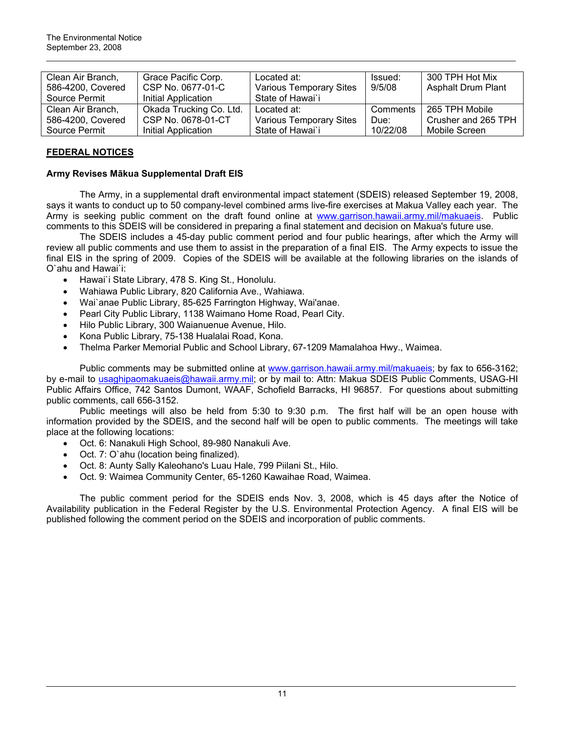| Clean Air Branch, | Grace Pacific Corp.     | Located at:                    | Issued:  | 300 TPH Hot Mix           |
|-------------------|-------------------------|--------------------------------|----------|---------------------------|
| 586-4200, Covered | CSP No. 0677-01-C       | <b>Various Temporary Sites</b> | 9/5/08   | <b>Asphalt Drum Plant</b> |
| Source Permit     | Initial Application     | State of Hawai`i               |          |                           |
| Clean Air Branch, | Okada Trucking Co. Ltd. | Located at:                    | Comments | 265 TPH Mobile            |
| 586-4200, Covered | CSP No. 0678-01-CT      | <b>Various Temporary Sites</b> | Due:     | Crusher and 265 TPH       |
| Source Permit     | Initial Application     | State of Hawai'i               | 10/22/08 | Mobile Screen             |

# **FEDERAL NOTICES**

# **Army Revises Mākua Supplemental Draft EIS**

The Army, in a supplemental draft environmental impact statement (SDEIS) released September 19, 2008, says it wants to conduct up to 50 company-level combined arms live-fire exercises at Makua Valley each year. The Army is seeking public comment on the draft found online at [www.garrison.hawaii.army.mil/makuaeis](http://www.garrison.hawaii.army.mil/makuaeis). Public comments to this SDEIS will be considered in preparing a final statement and decision on Makua's future use.

The SDEIS includes a 45-day public comment period and four public hearings, after which the Army will review all public comments and use them to assist in the preparation of a final EIS. The Army expects to issue the final EIS in the spring of 2009. Copies of the SDEIS will be available at the following libraries on the islands of O`ahu and Hawai`i:

- Hawai`i State Library, 478 S. King St., Honolulu.
- Wahiawa Public Library, 820 California Ave., Wahiawa.
- Wai`anae Public Library, 85-625 Farrington Highway, Wai'anae.
- Pearl City Public Library, 1138 Waimano Home Road, Pearl City.
- Hilo Public Library, 300 Waianuenue Avenue, Hilo.
- Kona Public Library, 75-138 Hualalai Road, Kona.
- Thelma Parker Memorial Public and School Library, 67-1209 Mamalahoa Hwy., Waimea.

Public comments may be submitted online at [www.garrison.hawaii.army.mil/makuaeis;](http://www.garrison.hawaii.army.mil/makuaeis) by fax to 656-3162; by e-mail to [usaghipaomakuaeis@hawaii.army.mil;](mailto:usaghipaomakuaeis@hawaii.army.mil) or by mail to: Attn: Makua SDEIS Public Comments, USAG-HI Public Affairs Office, 742 Santos Dumont, WAAF, Schofield Barracks, HI 96857. For questions about submitting public comments, call 656-3152.

Public meetings will also be held from 5:30 to 9:30 p.m. The first half will be an open house with information provided by the SDEIS, and the second half will be open to public comments. The meetings will take place at the following locations:

- Oct. 6: Nanakuli High School, 89-980 Nanakuli Ave.
- Oct. 7: O`ahu (location being finalized).
- Oct. 8: Aunty Sally Kaleohano's Luau Hale, 799 Piilani St., Hilo.
- Oct. 9: Waimea Community Center, 65-1260 Kawaihae Road, Waimea.

The public comment period for the SDEIS ends Nov. 3, 2008, which is 45 days after the Notice of Availability publication in the Federal Register by the U.S. Environmental Protection Agency. A final EIS will be published following the comment period on the SDEIS and incorporation of public comments.